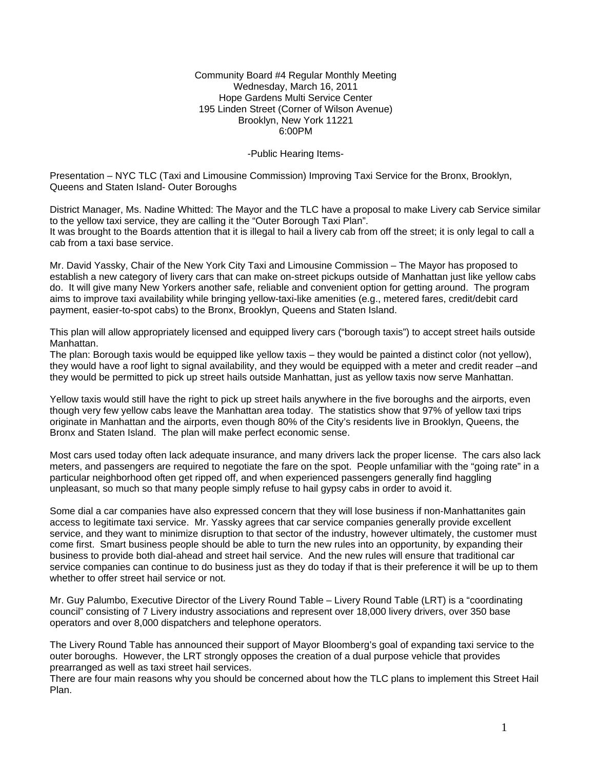Community Board #4 Regular Monthly Meeting Wednesday, March 16, 2011 Hope Gardens Multi Service Center 195 Linden Street (Corner of Wilson Avenue) Brooklyn, New York 11221 6:00PM

-Public Hearing Items-

Presentation – NYC TLC (Taxi and Limousine Commission) Improving Taxi Service for the Bronx, Brooklyn, Queens and Staten Island- Outer Boroughs

District Manager, Ms. Nadine Whitted: The Mayor and the TLC have a proposal to make Livery cab Service similar to the yellow taxi service, they are calling it the "Outer Borough Taxi Plan". It was brought to the Boards attention that it is illegal to hail a livery cab from off the street; it is only legal to call a cab from a taxi base service.

Mr. David Yassky, Chair of the New York City Taxi and Limousine Commission – The Mayor has proposed to establish a new category of livery cars that can make on-street pickups outside of Manhattan just like yellow cabs do. It will give many New Yorkers another safe, reliable and convenient option for getting around. The program aims to improve taxi availability while bringing yellow-taxi-like amenities (e.g., metered fares, credit/debit card payment, easier-to-spot cabs) to the Bronx, Brooklyn, Queens and Staten Island.

This plan will allow appropriately licensed and equipped livery cars ("borough taxis") to accept street hails outside Manhattan.

The plan: Borough taxis would be equipped like yellow taxis – they would be painted a distinct color (not yellow), they would have a roof light to signal availability, and they would be equipped with a meter and credit reader –and they would be permitted to pick up street hails outside Manhattan, just as yellow taxis now serve Manhattan.

Yellow taxis would still have the right to pick up street hails anywhere in the five boroughs and the airports, even though very few yellow cabs leave the Manhattan area today. The statistics show that 97% of yellow taxi trips originate in Manhattan and the airports, even though 80% of the City's residents live in Brooklyn, Queens, the Bronx and Staten Island. The plan will make perfect economic sense.

Most cars used today often lack adequate insurance, and many drivers lack the proper license. The cars also lack meters, and passengers are required to negotiate the fare on the spot. People unfamiliar with the "going rate" in a particular neighborhood often get ripped off, and when experienced passengers generally find haggling unpleasant, so much so that many people simply refuse to hail gypsy cabs in order to avoid it.

Some dial a car companies have also expressed concern that they will lose business if non-Manhattanites gain access to legitimate taxi service. Mr. Yassky agrees that car service companies generally provide excellent service, and they want to minimize disruption to that sector of the industry, however ultimately, the customer must come first. Smart business people should be able to turn the new rules into an opportunity, by expanding their business to provide both dial-ahead and street hail service. And the new rules will ensure that traditional car service companies can continue to do business just as they do today if that is their preference it will be up to them whether to offer street hail service or not.

Mr. Guy Palumbo, Executive Director of the Livery Round Table – Livery Round Table (LRT) is a "coordinating council" consisting of 7 Livery industry associations and represent over 18,000 livery drivers, over 350 base operators and over 8,000 dispatchers and telephone operators.

The Livery Round Table has announced their support of Mayor Bloomberg's goal of expanding taxi service to the outer boroughs. However, the LRT strongly opposes the creation of a dual purpose vehicle that provides prearranged as well as taxi street hail services.

There are four main reasons why you should be concerned about how the TLC plans to implement this Street Hail Plan.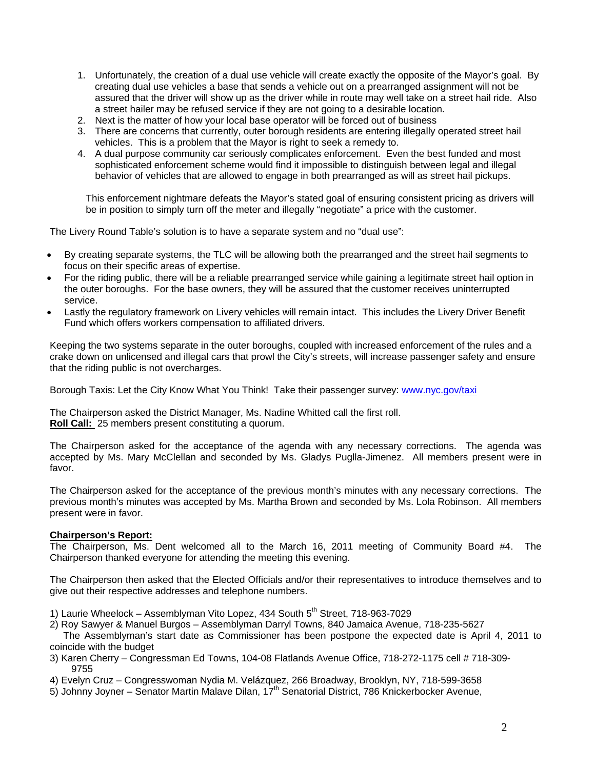- 1. Unfortunately, the creation of a dual use vehicle will create exactly the opposite of the Mayor's goal. By creating dual use vehicles a base that sends a vehicle out on a prearranged assignment will not be assured that the driver will show up as the driver while in route may well take on a street hail ride. Also a street hailer may be refused service if they are not going to a desirable location.
- 2. Next is the matter of how your local base operator will be forced out of business
- 3. There are concerns that currently, outer borough residents are entering illegally operated street hail vehicles. This is a problem that the Mayor is right to seek a remedy to.
- 4. A dual purpose community car seriously complicates enforcement. Even the best funded and most sophisticated enforcement scheme would find it impossible to distinguish between legal and illegal behavior of vehicles that are allowed to engage in both prearranged as will as street hail pickups.

This enforcement nightmare defeats the Mayor's stated goal of ensuring consistent pricing as drivers will be in position to simply turn off the meter and illegally "negotiate" a price with the customer.

The Livery Round Table's solution is to have a separate system and no "dual use":

- By creating separate systems, the TLC will be allowing both the prearranged and the street hail segments to focus on their specific areas of expertise.
- For the riding public, there will be a reliable prearranged service while gaining a legitimate street hail option in the outer boroughs. For the base owners, they will be assured that the customer receives uninterrupted service.
- Lastly the regulatory framework on Livery vehicles will remain intact. This includes the Livery Driver Benefit Fund which offers workers compensation to affiliated drivers.

Keeping the two systems separate in the outer boroughs, coupled with increased enforcement of the rules and a crake down on unlicensed and illegal cars that prowl the City's streets, will increase passenger safety and ensure that the riding public is not overcharges.

Borough Taxis: Let the City Know What You Think! Take their passenger survey: [www.nyc.gov/taxi](http://www.nyc.gov/taxi)

The Chairperson asked the District Manager, Ms. Nadine Whitted call the first roll. **Roll Call:** 25 members present constituting a quorum.

The Chairperson asked for the acceptance of the agenda with any necessary corrections. The agenda was accepted by Ms. Mary McClellan and seconded by Ms. Gladys Puglla-Jimenez. All members present were in favor.

The Chairperson asked for the acceptance of the previous month's minutes with any necessary corrections. The previous month's minutes was accepted by Ms. Martha Brown and seconded by Ms. Lola Robinson. All members present were in favor.

#### **Chairperson's Report:**

The Chairperson, Ms. Dent welcomed all to the March 16, 2011 meeting of Community Board #4. The Chairperson thanked everyone for attending the meeting this evening.

The Chairperson then asked that the Elected Officials and/or their representatives to introduce themselves and to give out their respective addresses and telephone numbers.

- 1) Laurie Wheelock Assemblyman Vito Lopez, 434 South  $5<sup>th</sup>$  Street, 718-963-7029
- 2) Roy Sawyer & Manuel Burgos Assemblyman Darryl Towns, 840 Jamaica Avenue, 718-235-5627

 The Assemblyman's start date as Commissioner has been postpone the expected date is April 4, 2011 to coincide with the budget

- 3) Karen Cherry Congressman Ed Towns, 104-08 Flatlands Avenue Office, 718-272-1175 cell # 718-309- 9755
- 4) Evelyn Cruz Congresswoman Nydia M. Velázquez, 266 Broadway, Brooklyn, NY, 718-599-3658
- 5) Johnny Joyner Senator Martin Malave Dilan, 17<sup>th</sup> Senatorial District, 786 Knickerbocker Avenue,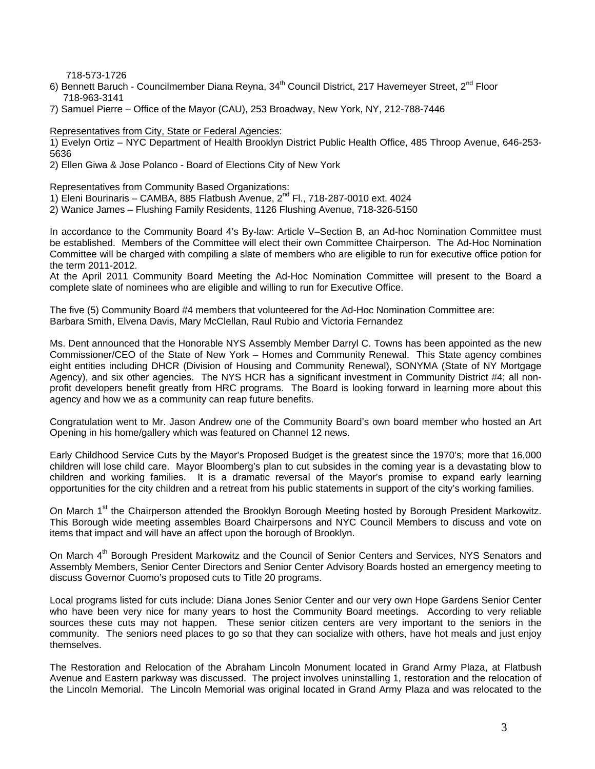718-573-1726

- 6) Bennett Baruch Councilmember Diana Reyna, 34<sup>th</sup> Council District, 217 Havemeyer Street, 2<sup>nd</sup> Floor 718-963-3141
- 7) Samuel Pierre Office of the Mayor (CAU), 253 Broadway, New York, NY, 212-788-7446

Representatives from City, State or Federal Agencies:

1) Evelyn Ortiz – NYC Department of Health Brooklyn District Public Health Office, 485 Throop Avenue, 646-253- 5636

2) Ellen Giwa & Jose Polanco - Board of Elections City of New York

Representatives from Community Based Organizations:

- 1) Eleni Bourinaris CAMBA, 885 Flatbush Avenue, 2<sup>nd</sup> Fl., 718-287-0010 ext. 4024
- 2) Wanice James Flushing Family Residents, 1126 Flushing Avenue, 718-326-5150

In accordance to the Community Board 4's By-law: Article V–Section B, an Ad-hoc Nomination Committee must be established. Members of the Committee will elect their own Committee Chairperson. The Ad-Hoc Nomination Committee will be charged with compiling a slate of members who are eligible to run for executive office potion for the term 2011-2012.

At the April 2011 Community Board Meeting the Ad-Hoc Nomination Committee will present to the Board a complete slate of nominees who are eligible and willing to run for Executive Office.

The five (5) Community Board #4 members that volunteered for the Ad-Hoc Nomination Committee are: Barbara Smith, Elvena Davis, Mary McClellan, Raul Rubio and Victoria Fernandez

Ms. Dent announced that the Honorable NYS Assembly Member Darryl C. Towns has been appointed as the new Commissioner/CEO of the State of New York – Homes and Community Renewal. This State agency combines eight entities including DHCR (Division of Housing and Community Renewal), SONYMA (State of NY Mortgage Agency), and six other agencies. The NYS HCR has a significant investment in Community District #4; all nonprofit developers benefit greatly from HRC programs. The Board is looking forward in learning more about this agency and how we as a community can reap future benefits.

Congratulation went to Mr. Jason Andrew one of the Community Board's own board member who hosted an Art Opening in his home/gallery which was featured on Channel 12 news.

Early Childhood Service Cuts by the Mayor's Proposed Budget is the greatest since the 1970's; more that 16,000 children will lose child care. Mayor Bloomberg's plan to cut subsides in the coming year is a devastating blow to children and working families. It is a dramatic reversal of the Mayor's promise to expand early learning opportunities for the city children and a retreat from his public statements in support of the city's working families.

On March 1<sup>st</sup> the Chairperson attended the Brooklyn Borough Meeting hosted by Borough President Markowitz. This Borough wide meeting assembles Board Chairpersons and NYC Council Members to discuss and vote on items that impact and will have an affect upon the borough of Brooklyn.

On March 4<sup>th</sup> Borough President Markowitz and the Council of Senior Centers and Services, NYS Senators and Assembly Members, Senior Center Directors and Senior Center Advisory Boards hosted an emergency meeting to discuss Governor Cuomo's proposed cuts to Title 20 programs.

Local programs listed for cuts include: Diana Jones Senior Center and our very own Hope Gardens Senior Center who have been very nice for many years to host the Community Board meetings. According to very reliable sources these cuts may not happen. These senior citizen centers are very important to the seniors in the community. The seniors need places to go so that they can socialize with others, have hot meals and just enjoy themselves.

The Restoration and Relocation of the Abraham Lincoln Monument located in Grand Army Plaza, at Flatbush Avenue and Eastern parkway was discussed. The project involves uninstalling 1, restoration and the relocation of the Lincoln Memorial. The Lincoln Memorial was original located in Grand Army Plaza and was relocated to the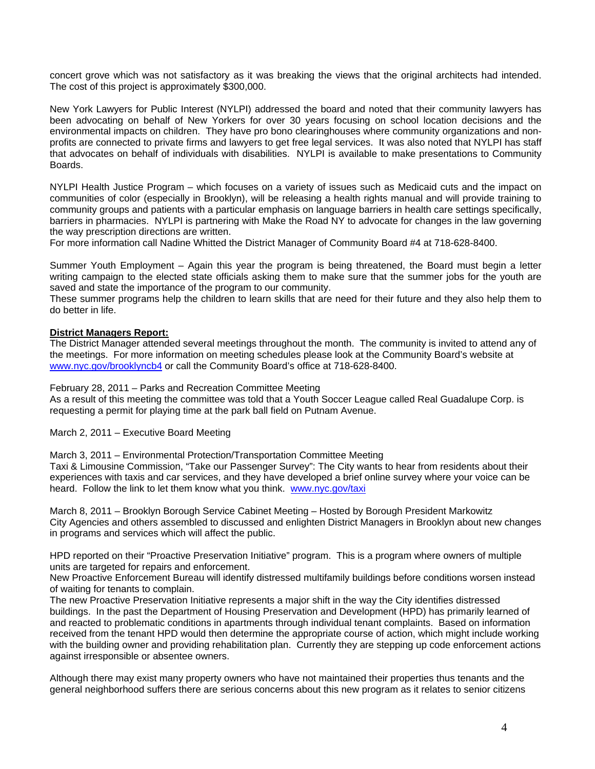concert grove which was not satisfactory as it was breaking the views that the original architects had intended. The cost of this project is approximately \$300,000.

New York Lawyers for Public Interest (NYLPI) addressed the board and noted that their community lawyers has been advocating on behalf of New Yorkers for over 30 years focusing on school location decisions and the environmental impacts on children. They have pro bono clearinghouses where community organizations and nonprofits are connected to private firms and lawyers to get free legal services. It was also noted that NYLPI has staff that advocates on behalf of individuals with disabilities. NYLPI is available to make presentations to Community Boards.

NYLPI Health Justice Program – which focuses on a variety of issues such as Medicaid cuts and the impact on communities of color (especially in Brooklyn), will be releasing a health rights manual and will provide training to community groups and patients with a particular emphasis on language barriers in health care settings specifically, barriers in pharmacies. NYLPI is partnering with Make the Road NY to advocate for changes in the law governing the way prescription directions are written.

For more information call Nadine Whitted the District Manager of Community Board #4 at 718-628-8400.

Summer Youth Employment – Again this year the program is being threatened, the Board must begin a letter writing campaign to the elected state officials asking them to make sure that the summer jobs for the youth are saved and state the importance of the program to our community.

These summer programs help the children to learn skills that are need for their future and they also help them to do better in life.

#### **District Managers Report:**

The District Manager attended several meetings throughout the month. The community is invited to attend any of the meetings. For more information on meeting schedules please look at the Community Board's website at [www.nyc.gov/brooklyncb4](http://www.nyc.gov/brooklyncb4) or call the Community Board's office at 718-628-8400.

February 28, 2011 – Parks and Recreation Committee Meeting

As a result of this meeting the committee was told that a Youth Soccer League called Real Guadalupe Corp. is requesting a permit for playing time at the park ball field on Putnam Avenue.

March 2, 2011 – Executive Board Meeting

March 3, 2011 – Environmental Protection/Transportation Committee Meeting

Taxi & Limousine Commission, "Take our Passenger Survey": The City wants to hear from residents about their experiences with taxis and car services, and they have developed a brief online survey where your voice can be heard. Follow the link to let them know what you think. [www.nyc.gov/taxi](http://www.nyc.gov/taxi)

March 8, 2011 – Brooklyn Borough Service Cabinet Meeting – Hosted by Borough President Markowitz City Agencies and others assembled to discussed and enlighten District Managers in Brooklyn about new changes in programs and services which will affect the public.

HPD reported on their "Proactive Preservation Initiative" program. This is a program where owners of multiple units are targeted for repairs and enforcement.

New Proactive Enforcement Bureau will identify distressed multifamily buildings before conditions worsen instead of waiting for tenants to complain.

The new Proactive Preservation Initiative represents a major shift in the way the City identifies distressed buildings. In the past the Department of Housing Preservation and Development (HPD) has primarily learned of and reacted to problematic conditions in apartments through individual tenant complaints. Based on information received from the tenant HPD would then determine the appropriate course of action, which might include working with the building owner and providing rehabilitation plan. Currently they are stepping up code enforcement actions against irresponsible or absentee owners.

Although there may exist many property owners who have not maintained their properties thus tenants and the general neighborhood suffers there are serious concerns about this new program as it relates to senior citizens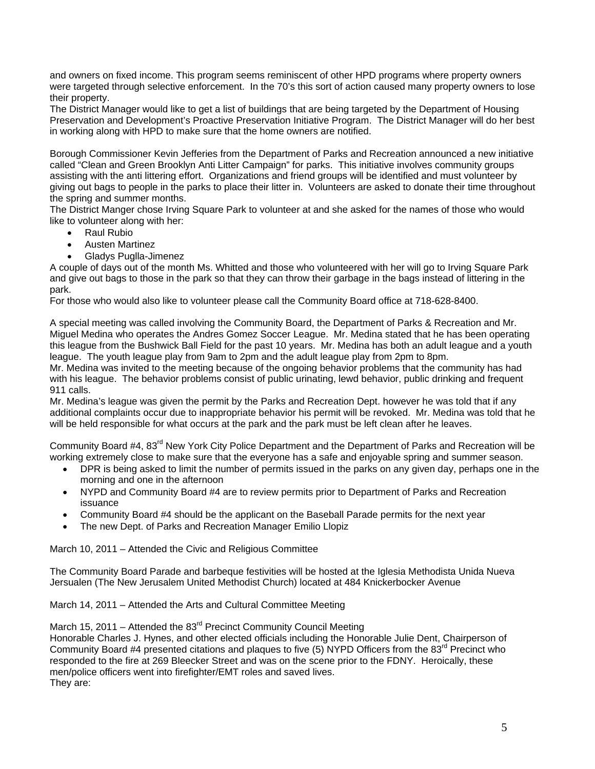and owners on fixed income. This program seems reminiscent of other HPD programs where property owners were targeted through selective enforcement. In the 70's this sort of action caused many property owners to lose their property.

The District Manager would like to get a list of buildings that are being targeted by the Department of Housing Preservation and Development's Proactive Preservation Initiative Program. The District Manager will do her best in working along with HPD to make sure that the home owners are notified.

Borough Commissioner Kevin Jefferies from the Department of Parks and Recreation announced a new initiative called "Clean and Green Brooklyn Anti Litter Campaign" for parks. This initiative involves community groups assisting with the anti littering effort. Organizations and friend groups will be identified and must volunteer by giving out bags to people in the parks to place their litter in. Volunteers are asked to donate their time throughout the spring and summer months.

The District Manger chose Irving Square Park to volunteer at and she asked for the names of those who would like to volunteer along with her:

- Raul Rubio
- Austen Martinez
- Gladys Puglla-Jimenez

A couple of days out of the month Ms. Whitted and those who volunteered with her will go to Irving Square Park and give out bags to those in the park so that they can throw their garbage in the bags instead of littering in the park.

For those who would also like to volunteer please call the Community Board office at 718-628-8400.

A special meeting was called involving the Community Board, the Department of Parks & Recreation and Mr. Miguel Medina who operates the Andres Gomez Soccer League. Mr. Medina stated that he has been operating this league from the Bushwick Ball Field for the past 10 years. Mr. Medina has both an adult league and a youth league. The youth league play from 9am to 2pm and the adult league play from 2pm to 8pm.

Mr. Medina was invited to the meeting because of the ongoing behavior problems that the community has had with his league. The behavior problems consist of public urinating, lewd behavior, public drinking and frequent 911 calls.

Mr. Medina's league was given the permit by the Parks and Recreation Dept. however he was told that if any additional complaints occur due to inappropriate behavior his permit will be revoked. Mr. Medina was told that he will be held responsible for what occurs at the park and the park must be left clean after he leaves.

Community Board #4, 83<sup>rd</sup> New York City Police Department and the Department of Parks and Recreation will be working extremely close to make sure that the everyone has a safe and enjoyable spring and summer season.

- DPR is being asked to limit the number of permits issued in the parks on any given day, perhaps one in the morning and one in the afternoon
- NYPD and Community Board #4 are to review permits prior to Department of Parks and Recreation issuance
- Community Board #4 should be the applicant on the Baseball Parade permits for the next year
- The new Dept. of Parks and Recreation Manager Emilio Llopiz

March 10, 2011 – Attended the Civic and Religious Committee

The Community Board Parade and barbeque festivities will be hosted at the Iglesia Methodista Unida Nueva Jersualen (The New Jerusalem United Methodist Church) located at 484 Knickerbocker Avenue

March 14, 2011 – Attended the Arts and Cultural Committee Meeting

March 15, 2011 – Attended the  $83<sup>rd</sup>$  Precinct Community Council Meeting

Honorable Charles J. Hynes, and other elected officials including the Honorable Julie Dent, Chairperson of Community Board #4 presented citations and plaques to five (5) NYPD Officers from the 83<sup>rd</sup> Precinct who responded to the fire at 269 Bleecker Street and was on the scene prior to the FDNY. Heroically, these men/police officers went into firefighter/EMT roles and saved lives. They are: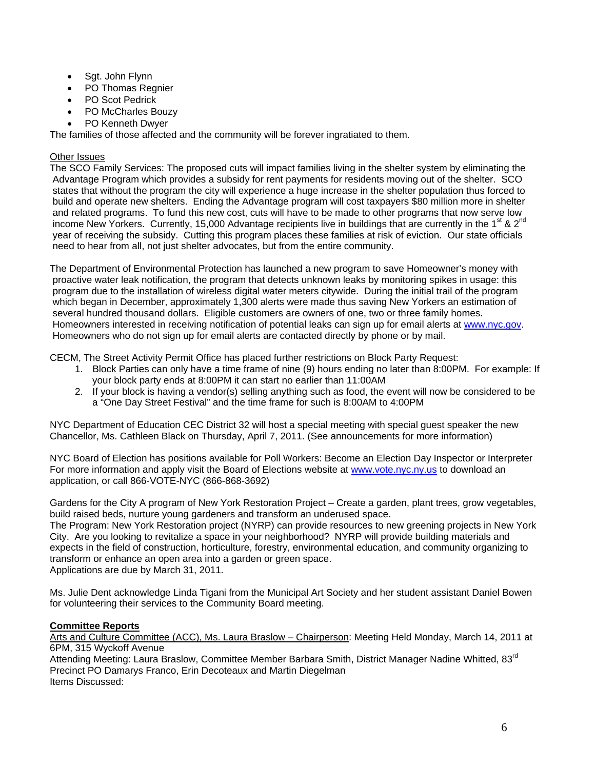- Sgt. John Flynn
- PO Thomas Regnier
- PO Scot Pedrick
- PO McCharles Bouzy
- PO Kenneth Dwyer

The families of those affected and the community will be forever ingratiated to them.

### Other Issues

The SCO Family Services: The proposed cuts will impact families living in the shelter system by eliminating the Advantage Program which provides a subsidy for rent payments for residents moving out of the shelter. SCO states that without the program the city will experience a huge increase in the shelter population thus forced to build and operate new shelters. Ending the Advantage program will cost taxpayers \$80 million more in shelter and related programs. To fund this new cost, cuts will have to be made to other programs that now serve low income New Yorkers. Currently, 15,000 Advantage recipients live in buildings that are currently in the 1<sup>st</sup> & 2<sup>nd</sup> year of receiving the subsidy. Cutting this program places these families at risk of eviction. Our state officials need to hear from all, not just shelter advocates, but from the entire community.

The Department of Environmental Protection has launched a new program to save Homeowner's money with proactive water leak notification, the program that detects unknown leaks by monitoring spikes in usage: this program due to the installation of wireless digital water meters citywide. During the initial trail of the program which began in December, approximately 1,300 alerts were made thus saving New Yorkers an estimation of several hundred thousand dollars. Eligible customers are owners of one, two or three family homes. Homeowners interested in receiving notification of potential leaks can sign up for email alerts at [www.nyc.gov.](http://www.nyc.gov/) Homeowners who do not sign up for email alerts are contacted directly by phone or by mail.

CECM, The Street Activity Permit Office has placed further restrictions on Block Party Request:

- 1. Block Parties can only have a time frame of nine (9) hours ending no later than 8:00PM. For example: If your block party ends at 8:00PM it can start no earlier than 11:00AM
- 2. If your block is having a vendor(s) selling anything such as food, the event will now be considered to be a "One Day Street Festival" and the time frame for such is 8:00AM to 4:00PM

NYC Department of Education CEC District 32 will host a special meeting with special guest speaker the new Chancellor, Ms. Cathleen Black on Thursday, April 7, 2011. (See announcements for more information)

NYC Board of Election has positions available for Poll Workers: Become an Election Day Inspector or Interpreter For more information and apply visit the Board of Elections website at [www.vote.nyc.ny.us](http://www.vote.nyc.ny.us/) to download an application, or call 866-VOTE-NYC (866-868-3692)

Gardens for the City A program of New York Restoration Project – Create a garden, plant trees, grow vegetables, build raised beds, nurture young gardeners and transform an underused space.

The Program: New York Restoration project (NYRP) can provide resources to new greening projects in New York City. Are you looking to revitalize a space in your neighborhood? NYRP will provide building materials and expects in the field of construction, horticulture, forestry, environmental education, and community organizing to transform or enhance an open area into a garden or green space. Applications are due by March 31, 2011.

Ms. Julie Dent acknowledge Linda Tigani from the Municipal Art Society and her student assistant Daniel Bowen for volunteering their services to the Community Board meeting.

# **Committee Reports**

Arts and Culture Committee (ACC), Ms. Laura Braslow – Chairperson: Meeting Held Monday, March 14, 2011 at 6PM, 315 Wyckoff Avenue

Attending Meeting: Laura Braslow, Committee Member Barbara Smith, District Manager Nadine Whitted. 83<sup>rd</sup> Precinct PO Damarys Franco, Erin Decoteaux and Martin Diegelman Items Discussed: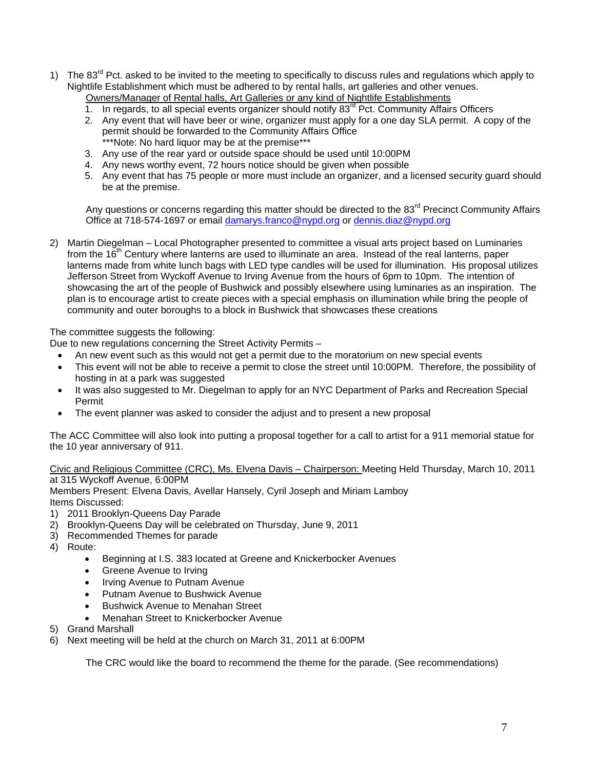- 1) The 83<sup>rd</sup> Pct. asked to be invited to the meeting to specifically to discuss rules and regulations which apply to Nightlife Establishment which must be adhered to by rental halls, art galleries and other venues.
	- Owners/Manager of Rental halls, Art Galleries or any kind of Nightlife Establishments
	- 1. In regards, to all special events organizer should notify  $83<sup>rd</sup>$  Pct. Community Affairs Officers
	- 2. Any event that will have beer or wine, organizer must apply for a one day SLA permit. A copy of the permit should be forwarded to the Community Affairs Office \*\*\*Note: No hard liquor may be at the premise\*\*\*
	- 3. Any use of the rear yard or outside space should be used until 10:00PM
	- 4. Any news worthy event, 72 hours notice should be given when possible
	- 5. Any event that has 75 people or more must include an organizer, and a licensed security guard should be at the premise.

Any questions or concerns regarding this matter should be directed to the 83<sup>rd</sup> Precinct Community Affairs Office at 718-574-1697 or email [damarys.franco@nypd.org](mailto:damarys.franco@nypd.org) or [dennis.diaz@nypd.org](mailto:dennis.diaz@nypd.org) 

2) Martin Diegelman – Local Photographer presented to committee a visual arts project based on Luminaries from the  $16<sup>th</sup>$  Century where lanterns are used to illuminate an area. Instead of the real lanterns, paper lanterns made from white lunch bags with LED type candles will be used for illumination. His proposal utilizes Jefferson Street from Wyckoff Avenue to Irving Avenue from the hours of 6pm to 10pm. The intention of showcasing the art of the people of Bushwick and possibly elsewhere using luminaries as an inspiration. The plan is to encourage artist to create pieces with a special emphasis on illumination while bring the people of community and outer boroughs to a block in Bushwick that showcases these creations

The committee suggests the following:

Due to new regulations concerning the Street Activity Permits –

- An new event such as this would not get a permit due to the moratorium on new special events
- This event will not be able to receive a permit to close the street until 10:00PM. Therefore, the possibility of hosting in at a park was suggested
- It was also suggested to Mr. Diegelman to apply for an NYC Department of Parks and Recreation Special Permit
- The event planner was asked to consider the adjust and to present a new proposal

The ACC Committee will also look into putting a proposal together for a call to artist for a 911 memorial statue for the 10 year anniversary of 911.

Civic and Religious Committee (CRC), Ms. Elvena Davis – Chairperson: Meeting Held Thursday, March 10, 2011 at 315 Wyckoff Avenue, 6:00PM

Members Present: Elvena Davis, Avellar Hansely, Cyril Joseph and Miriam Lamboy Items Discussed:

- 1) 2011 Brooklyn-Queens Day Parade
- 2) Brooklyn-Queens Day will be celebrated on Thursday, June 9, 2011
- 3) Recommended Themes for parade
- 4) Route:
	- Beginning at I.S. 383 located at Greene and Knickerbocker Avenues
	- Greene Avenue to Irving
	- Irving Avenue to Putnam Avenue
	- Putnam Avenue to Bushwick Avenue
	- Bushwick Avenue to Menahan Street
	- Menahan Street to Knickerbocker Avenue
- 5) Grand Marshall
- 6) Next meeting will be held at the church on March 31, 2011 at 6:00PM

The CRC would like the board to recommend the theme for the parade. (See recommendations)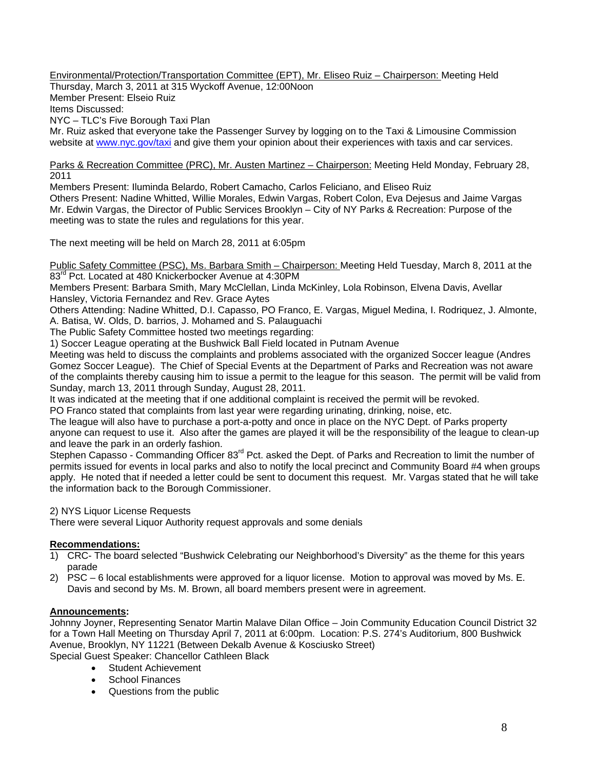Environmental/Protection/Transportation Committee (EPT), Mr. Eliseo Ruiz – Chairperson: Meeting Held

Thursday, March 3, 2011 at 315 Wyckoff Avenue, 12:00Noon Member Present: Elseio Ruiz Items Discussed: NYC – TLC's Five Borough Taxi Plan

Mr. Ruiz asked that everyone take the Passenger Survey by logging on to the Taxi & Limousine Commission website at [www.nyc.gov/taxi](http://www.nyc.gov/taxi) and give them your opinion about their experiences with taxis and car services.

Parks & Recreation Committee (PRC), Mr. Austen Martinez – Chairperson: Meeting Held Monday, February 28, 2011

Members Present: Iluminda Belardo, Robert Camacho, Carlos Feliciano, and Eliseo Ruiz Others Present: Nadine Whitted, Willie Morales, Edwin Vargas, Robert Colon, Eva Dejesus and Jaime Vargas Mr. Edwin Vargas, the Director of Public Services Brooklyn – City of NY Parks & Recreation: Purpose of the meeting was to state the rules and regulations for this year.

The next meeting will be held on March 28, 2011 at 6:05pm

Public Safety Committee (PSC), Ms. Barbara Smith – Chairperson: Meeting Held Tuesday, March 8, 2011 at the 83<sup>rd</sup> Pct. Located at 480 Knickerbocker Avenue at 4:30PM

Members Present: Barbara Smith, Mary McClellan, Linda McKinley, Lola Robinson, Elvena Davis, Avellar Hansley, Victoria Fernandez and Rev. Grace Aytes

Others Attending: Nadine Whitted, D.I. Capasso, PO Franco, E. Vargas, Miguel Medina, I. Rodriquez, J. Almonte, A. Batisa, W. Olds, D. barrios, J. Mohamed and S. Palauguachi

The Public Safety Committee hosted two meetings regarding:

1) Soccer League operating at the Bushwick Ball Field located in Putnam Avenue

Meeting was held to discuss the complaints and problems associated with the organized Soccer league (Andres Gomez Soccer League). The Chief of Special Events at the Department of Parks and Recreation was not aware of the complaints thereby causing him to issue a permit to the league for this season. The permit will be valid from Sunday, march 13, 2011 through Sunday, August 28, 2011.

It was indicated at the meeting that if one additional complaint is received the permit will be revoked.

PO Franco stated that complaints from last year were regarding urinating, drinking, noise, etc.

The league will also have to purchase a port-a-potty and once in place on the NYC Dept. of Parks property anyone can request to use it. Also after the games are played it will be the responsibility of the league to clean-up and leave the park in an orderly fashion.

Stephen Capasso - Commanding Officer 83<sup>rd</sup> Pct. asked the Dept. of Parks and Recreation to limit the number of permits issued for events in local parks and also to notify the local precinct and Community Board #4 when groups apply. He noted that if needed a letter could be sent to document this request. Mr. Vargas stated that he will take the information back to the Borough Commissioner.

2) NYS Liquor License Requests

There were several Liquor Authority request approvals and some denials

### **Recommendations:**

- 1) CRC- The board selected "Bushwick Celebrating our Neighborhood's Diversity" as the theme for this years parade
- 2) PSC 6 local establishments were approved for a liquor license. Motion to approval was moved by Ms. E. Davis and second by Ms. M. Brown, all board members present were in agreement.

# **Announcements:**

Johnny Joyner, Representing Senator Martin Malave Dilan Office – Join Community Education Council District 32 for a Town Hall Meeting on Thursday April 7, 2011 at 6:00pm. Location: P.S. 274's Auditorium, 800 Bushwick Avenue, Brooklyn, NY 11221 (Between Dekalb Avenue & Kosciusko Street)

Special Guest Speaker: Chancellor Cathleen Black

- Student Achievement
- School Finances
- Questions from the public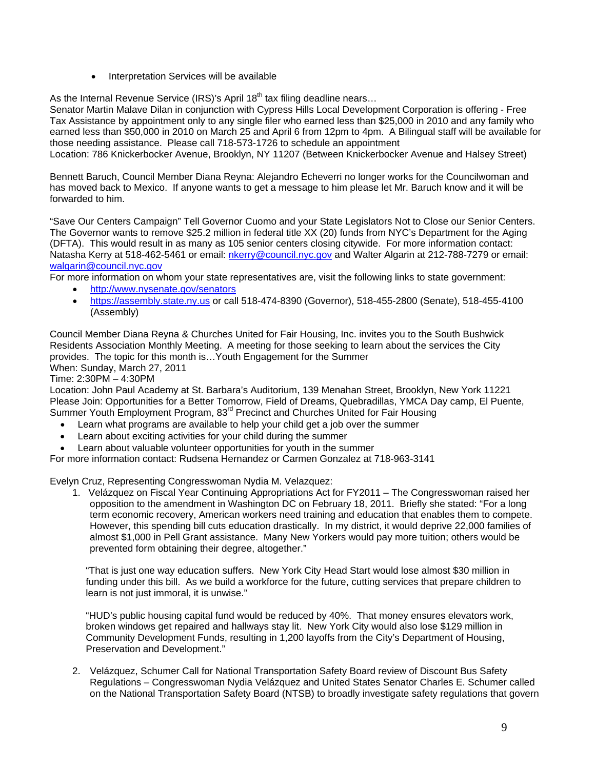• Interpretation Services will be available

As the Internal Revenue Service (IRS)'s April  $18<sup>th</sup>$  tax filing deadline nears...

Senator Martin Malave Dilan in conjunction with Cypress Hills Local Development Corporation is offering - Free Tax Assistance by appointment only to any single filer who earned less than \$25,000 in 2010 and any family who earned less than \$50,000 in 2010 on March 25 and April 6 from 12pm to 4pm. A Bilingual staff will be available for those needing assistance. Please call 718-573-1726 to schedule an appointment

Location: 786 Knickerbocker Avenue, Brooklyn, NY 11207 (Between Knickerbocker Avenue and Halsey Street)

Bennett Baruch, Council Member Diana Reyna: Alejandro Echeverri no longer works for the Councilwoman and has moved back to Mexico. If anyone wants to get a message to him please let Mr. Baruch know and it will be forwarded to him.

"Save Our Centers Campaign" Tell Governor Cuomo and your State Legislators Not to Close our Senior Centers. The Governor wants to remove \$25.2 million in federal title XX (20) funds from NYC's Department for the Aging (DFTA). This would result in as many as 105 senior centers closing citywide. For more information contact: Natasha Kerry at 518-462-5461 or email: [nkerry@council.nyc.gov](mailto:nkerry@council.nyc.gov) and Walter Algarin at 212-788-7279 or email: [walgarin@council.nyc.gov](mailto:walgarin@council.nyc.gov)

For more information on whom your state representatives are, visit the following links to state government:

- <http://www.nysenate.gov/senators>
- [https://assembly.state.ny.us](https://assembly.state.ny.us/) or call 518-474-8390 (Governor), 518-455-2800 (Senate), 518-455-4100 (Assembly)

Council Member Diana Reyna & Churches United for Fair Housing, Inc. invites you to the South Bushwick Residents Association Monthly Meeting. A meeting for those seeking to learn about the services the City provides. The topic for this month is…Youth Engagement for the Summer

When: Sunday, March 27, 2011

Time: 2:30PM – 4:30PM

Location: John Paul Academy at St. Barbara's Auditorium, 139 Menahan Street, Brooklyn, New York 11221 Please Join: Opportunities for a Better Tomorrow, Field of Dreams, Quebradillas, YMCA Day camp, El Puente, Summer Youth Employment Program, 83<sup>rd</sup> Precinct and Churches United for Fair Housing

- Learn what programs are available to help your child get a job over the summer
- Learn about exciting activities for your child during the summer
- Learn about valuable volunteer opportunities for youth in the summer

For more information contact: Rudsena Hernandez or Carmen Gonzalez at 718-963-3141

Evelyn Cruz, Representing Congresswoman Nydia M. Velazquez:

1. Velázquez on Fiscal Year Continuing Appropriations Act for FY2011 – The Congresswoman raised her opposition to the amendment in Washington DC on February 18, 2011. Briefly she stated: "For a long term economic recovery, American workers need training and education that enables them to compete. However, this spending bill cuts education drastically. In my district, it would deprive 22,000 families of almost \$1,000 in Pell Grant assistance. Many New Yorkers would pay more tuition; others would be prevented form obtaining their degree, altogether."

"That is just one way education suffers. New York City Head Start would lose almost \$30 million in funding under this bill. As we build a workforce for the future, cutting services that prepare children to learn is not just immoral, it is unwise."

"HUD's public housing capital fund would be reduced by 40%. That money ensures elevators work, broken windows get repaired and hallways stay lit. New York City would also lose \$129 million in Community Development Funds, resulting in 1,200 layoffs from the City's Department of Housing, Preservation and Development."

2. Velázquez, Schumer Call for National Transportation Safety Board review of Discount Bus Safety Regulations – Congresswoman Nydia Velázquez and United States Senator Charles E. Schumer called on the National Transportation Safety Board (NTSB) to broadly investigate safety regulations that govern